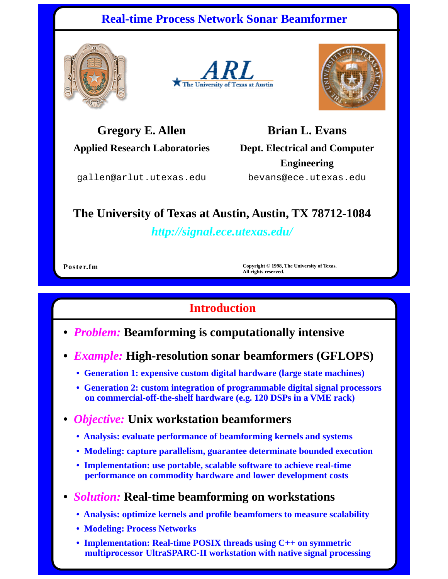## **Real-time Process Network Sonar Beamformer**







**Gregory E. Allen**

**Applied Research Laboratories**

**Brian L. Evans Dept. Electrical and Computer Engineering**

gallen@arlut.utexas.edu

bevans@ece.utexas.edu

# **The University of Texas at Austin, Austin, TX 78712-1084**

*http://signal.ece.utexas.edu/*

**Poster.fm Copyright © 1998, The University of Texas. All rights reserved.**

## **Introduction**

- *Problem:* **Beamforming is computationally intensive**
- *Example:* **High-resolution sonar beamformers (GFLOPS)**
	- **Generation 1: expensive custom digital hardware (large state machines)**
	- **Generation 2: custom integration of programmable digital signal processors on commercial-off-the-shelf hardware (e.g. 120 DSPs in a VME rack)**

#### **•** *Objective:* **Unix workstation beamformers**

- **Analysis: evaluate performance of beamforming kernels and systems**
- **Modeling: capture parallelism, guarantee determinate bounded execution**
- **Implementation: use portable, scalable software to achieve real-time performance on commodity hardware and lower development costs**

#### **•** *Solution:* **Real-time beamforming on workstations**

- **Analysis: optimize kernels and profile beamfomers to measure scalability**
- **Modeling: Process Networks**
- **Implementation: Real-time POSIX threads using C++ on symmetric multiprocessor UltraSPARC-II workstation with native signal processing**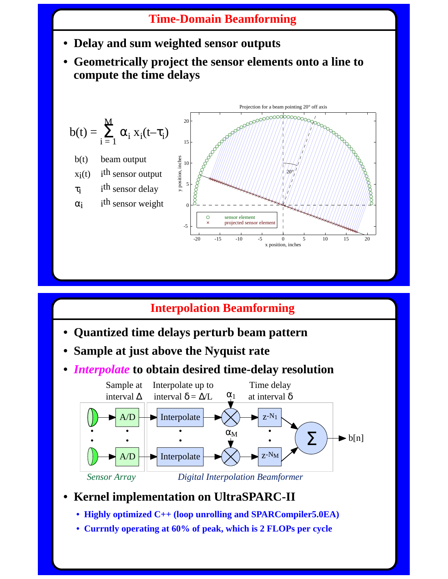## **Time-Domain Beamforming**

- **Delay and sum weighted sensor outputs**
- **Geometrically project the sensor elements onto a line to compute the time delays**



## **Interpolation Beamforming**

- **Quantized time delays perturb beam pattern**
- **Sample at just above the Nyquist rate**
- *Interpolate* **to obtain desired time-delay resolution**



- **Kernel implementation on UltraSPARC-II**
	- **Highly optimized C++ (loop unrolling and SPARCompiler5.0EA)**
	- **Currntly operating at 60% of peak, which is 2 FLOPs per cycle**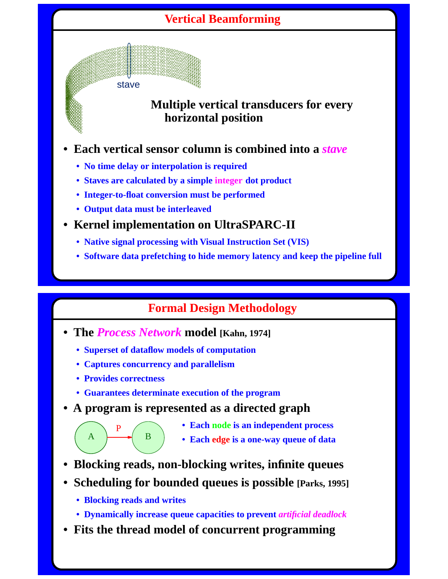# **Vertical Beamforming**



#### **Multiple vertical transducers for every horizontal position**

- **Each vertical sensor column is combined into a** *stave*
	- **No time delay or interpolation is required**
	- **Staves are calculated by a simple integer dot product**
	- **Integer-to-float conversion must be performed**
	- **Output data must be interleaved**
- **Kernel implementation on UltraSPARC-II**
	- **Native signal processing with Visual Instruction Set (VIS)**
	- **Software data prefetching to hide memory latency and keep the pipeline full**

## **Formal Design Methodology**

- **The** *Process Network* **model [Kahn, 1974]**
	- **Superset of dataflow models of computation**
	- **Captures concurrency and parallelism**

B

**• Provides correctness**

P

A

- **Guarantees determinate execution of the program**
- **A program is represented as a directed graph**
	- **Each node is an independent process**
	- **Each edge is a one-way queue of data**
- **Blocking reads, non-blocking writes, infinite queues**
- **Scheduling for bounded queues is possible [Parks, 1995]**
	- **Blocking reads and writes**
	- **Dynamically increase queue capacities to prevent** *artificial deadlock*
- **Fits the thread model of concurrent programming**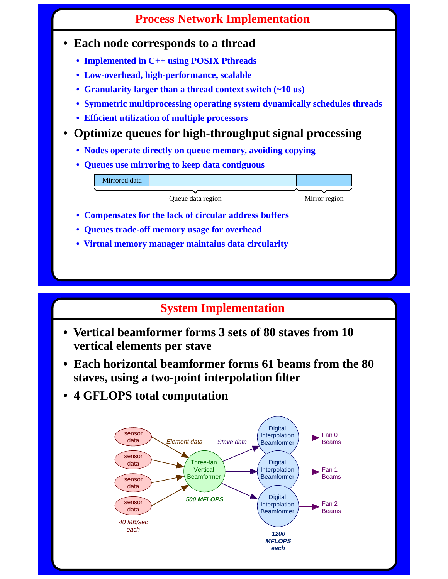## **Process Network Implementation**

#### **• Each node corresponds to a thread**

- **Implemented in C++ using POSIX Pthreads**
- **Low-overhead, high-performance, scalable**
- **Granularity larger than a thread context switch (~10 us)**
- **Symmetric multiprocessing operating system dynamically schedules threads**
- **Efficient utilization of multiple processors**
- **Optimize queues for high-throughput signal processing**
	- **Nodes operate directly on queue memory, avoiding copying**
	- **Queues use mirroring to keep data contiguous**

Mirrored data

Queue data region Mirror region

- **Compensates for the lack of circular address buffers**
- **Queues trade-off memory usage for overhead**
- **Virtual memory manager maintains data circularity**

# **System Implementation**

- **Vertical beamformer forms 3 sets of 80 staves from 10 vertical elements per stave**
- **Each horizontal beamformer forms 61 beams from the 80 staves, using a two-point interpolation filter**
- **4 GFLOPS total computation**